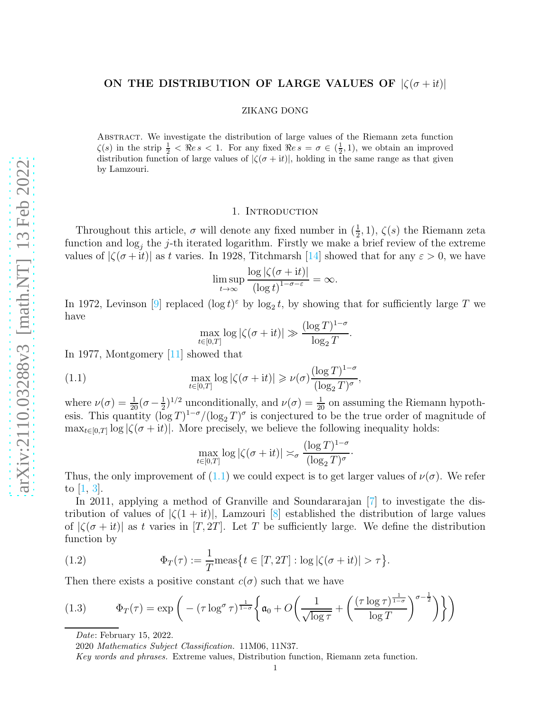# ON THE DISTRIBUTION OF LARGE VALUES OF  $|\zeta(\sigma + it)|$

#### ZIKANG DONG

Abstract. We investigate the distribution of large values of the Riemann zeta function  $\zeta(s)$  in the strip  $\frac{1}{2} < \Re \epsilon s < 1$ . For any fixed  $\Re \epsilon s = \sigma \in (\frac{1}{2}, 1)$ , we obtain an improved distribution function of large values of  $|\zeta(\sigma + it)|$ , holding in the same range as that given by Lamzouri.

### 1. INTRODUCTION

Throughout this article,  $\sigma$  will denote any fixed number in  $(\frac{1}{2}, 1)$ ,  $\zeta(s)$  the Riemann zeta function and  $\log_j$  the j-th iterated logarithm. Firstly we make a brief review of the extreme values of  $|\zeta(\sigma + it)|$  as t varies. In 1928, Titchmarsh [\[14\]](#page-14-0) showed that for any  $\varepsilon > 0$ , we have

$$
\limsup_{t \to \infty} \frac{\log |\zeta(\sigma + it)|}{(\log t)^{1-\sigma-\varepsilon}} = \infty.
$$

In 1972, Levinson [\[9\]](#page-14-1) replaced  $(\log t)^{\varepsilon}$  by  $\log_2 t$ , by showing that for sufficiently large T we have

$$
\max_{t \in [0,T]} \log |\zeta(\sigma + it)| \gg \frac{(\log T)^{1-\sigma}}{\log_2 T}.
$$

In 1977, Montgomery [\[11\]](#page-14-2) showed that

<span id="page-0-0"></span>(1.1) 
$$
\max_{t \in [0,T]} \log |\zeta(\sigma + it)| \geqslant \nu(\sigma) \frac{(\log T)^{1-\sigma}}{(\log_2 T)^{\sigma}},
$$

where  $\nu(\sigma) = \frac{1}{20}(\sigma - \frac{1}{2})$  $\frac{1}{2}$ <sup>1/2</sup> unconditionally, and  $\nu(\sigma) = \frac{1}{20}$  on assuming the Riemann hypothesis. This quantity  $(\log T)^{1-\sigma}/(\log_2 T)^{\sigma}$  is conjectured to be the true order of magnitude of  $\max_{t \in [0,T]} \log |\zeta(\sigma + it)|$ . More precisely, we believe the following inequality holds:

$$
\max_{t \in [0,T]} \log |\zeta(\sigma + \mathrm{i}t)| \asymp_{\sigma} \frac{(\log T)^{1-\sigma}}{(\log_2 T)^{\sigma}}.
$$

Thus, the only improvement of [\(1.1\)](#page-0-0) we could expect is to get larger values of  $\nu(\sigma)$ . We refer to [\[1,](#page-13-0) [3\]](#page-13-1).

In 2011, applying a method of Granville and Soundararajan [\[7\]](#page-14-3) to investigate the distribution of values of  $|\zeta(1+it)|$ , Lamzouri [\[8\]](#page-14-4) established the distribution of large values of  $|\zeta(\sigma + it)|$  as t varies in  $[T, 2T]$ . Let T be sufficiently large. We define the distribution function by

<span id="page-0-2"></span>(1.2) 
$$
\Phi_T(\tau) := \frac{1}{T} \text{meas} \{ t \in [T, 2T] : \log |\zeta(\sigma + \mathrm{i}t)| > \tau \}.
$$

Then there exists a positive constant  $c(\sigma)$  such that we have

(1.3) 
$$
\Phi_T(\tau) = \exp\left(-\left(\tau \log^{\sigma} \tau\right)^{\frac{1}{1-\sigma}} \left\{ \mathfrak{a}_0 + O\left(\frac{1}{\sqrt{\log \tau}} + \left(\frac{\left(\tau \log \tau\right)^{\frac{1}{1-\sigma}}}{\log T}\right)^{\sigma-\frac{1}{2}}\right) \right\} \right)
$$

<span id="page-0-1"></span>Date: February 15, 2022.

2020 Mathematics Subject Classification. 11M06, 11N37.

Key words and phrases. Extreme values, Distribution function, Riemann zeta function.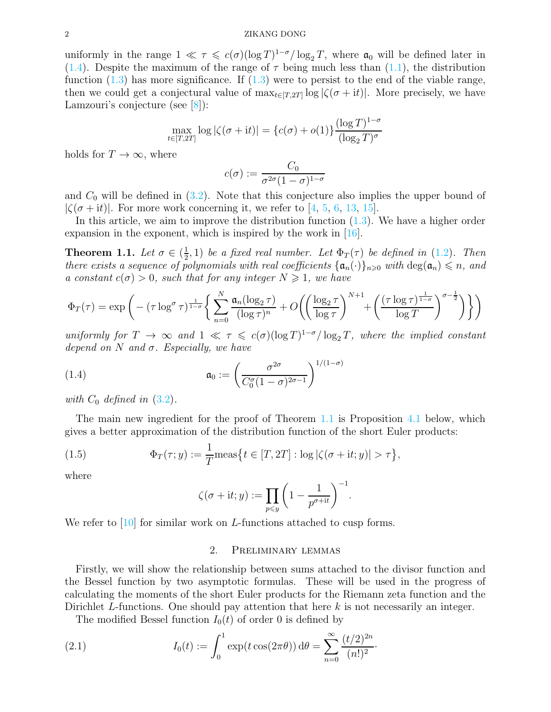uniformly in the range  $1 \ll \tau \leq c(\sigma)(\log T)^{1-\sigma}/\log_2 T$ , where  $\mathfrak{a}_0$  will be defined later in [\(1.4\)](#page-1-0). Despite the maximum of the range of  $\tau$  being much less than [\(1.1\)](#page-0-0), the distribution function  $(1.3)$  has more significance. If  $(1.3)$  were to persist to the end of the viable range, then we could get a conjectural value of  $\max_{t \in [T,2T]} \log |\zeta(\sigma + it)|$ . More precisely, we have Lamzouri's conjecture (see [\[8\]](#page-14-4)):

$$
\max_{t \in [T,2T]} \log |\zeta(\sigma + \mathrm{i}t)| = \{c(\sigma) + o(1)\} \frac{(\log T)^{1-\sigma}}{(\log_2 T)^{\sigma}}
$$

holds for  $T \to \infty$ , where

$$
c(\sigma) := \frac{C_0}{\sigma^{2\sigma}(1-\sigma)^{1-\sigma}}
$$

and  $C_0$  will be defined in  $(3.2)$ . Note that this conjecture also implies the upper bound of  $|\zeta(\sigma + it)|$ . For more work concerning it, we refer to [\[4,](#page-14-5) [5,](#page-14-6) [6,](#page-14-7) [13,](#page-14-8) [15\]](#page-14-9).

In this article, we aim to improve the distribution function  $(1.3)$ . We have a higher order expansion in the exponent, which is inspired by the work in [\[16\]](#page-14-10).

<span id="page-1-1"></span>**Theorem 1.1.** Let  $\sigma \in \left(\frac{1}{2}\right)$  $(\frac{1}{2},1)$  be a fixed real number. Let  $\Phi_T(\tau)$  be defined in  $(1.2)$ . Then there exists a sequence of polynomials with real coefficients  $\{\mathfrak{a}_n(\cdot)\}_{n\geq 0}$  with  $\deg(\mathfrak{a}_n) \leq n$ , and a constant  $c(\sigma) > 0$ , such that for any integer  $N \geq 1$ , we have

$$
\Phi_T(\tau) = \exp\left(-\left(\tau \log^{\sigma} \tau\right)^{\frac{1}{1-\sigma}} \left\{\sum_{n=0}^{N} \frac{\mathfrak{a}_n(\log_2 \tau)}{(\log \tau)^n} + O\left(\left(\frac{\log_2 \tau}{\log \tau}\right)^{N+1} + \left(\frac{\left(\tau \log \tau\right)^{\frac{1}{1-\sigma}}}{\log T}\right)^{\sigma-\frac{1}{2}}\right)\right\}\right)
$$

uniformly for  $T \to \infty$  and  $1 \ll \tau \leq c(\sigma)(\log T)^{1-\sigma}/\log_2 T$ , where the implied constant depend on N and  $\sigma$ . Especially, we have

<span id="page-1-0"></span>(1.4) 
$$
\mathfrak{a}_0 := \left(\frac{\sigma^{2\sigma}}{C_0^{\sigma}(1-\sigma)^{2\sigma-1}}\right)^{1/(1-\sigma)}
$$

with  $C_0$  defined in  $(3.2)$ .

The main new ingredient for the proof of Theorem [1.1](#page-1-1) is Proposition [4.1](#page-8-0) below, which gives a better approximation of the distribution function of the short Euler products:

(1.5) 
$$
\Phi_T(\tau; y) := \frac{1}{T} \text{meas} \{ t \in [T, 2T] : \log |\zeta(\sigma + it; y)| > \tau \},
$$

where

$$
\zeta(\sigma + \mathrm{i}t; y) := \prod_{p \leqslant y} \left(1 - \frac{1}{p^{\sigma + \mathrm{i}t}}\right)^{-1}.
$$

We refer to [\[10\]](#page-14-11) for similar work on L-functions attached to cusp forms.

# 2. Preliminary lemmas

Firstly, we will show the relationship between sums attached to the divisor function and the Bessel function by two asymptotic formulas. These will be used in the progress of calculating the moments of the short Euler products for the Riemann zeta function and the Dirichlet L-functions. One should pay attention that here  $k$  is not necessarily an integer.

<span id="page-1-2"></span>The modified Bessel function  $I_0(t)$  of order 0 is defined by

(2.1) 
$$
I_0(t) := \int_0^1 \exp(t \cos(2\pi \theta)) d\theta = \sum_{n=0}^\infty \frac{(t/2)^{2n}}{(n!)^2}.
$$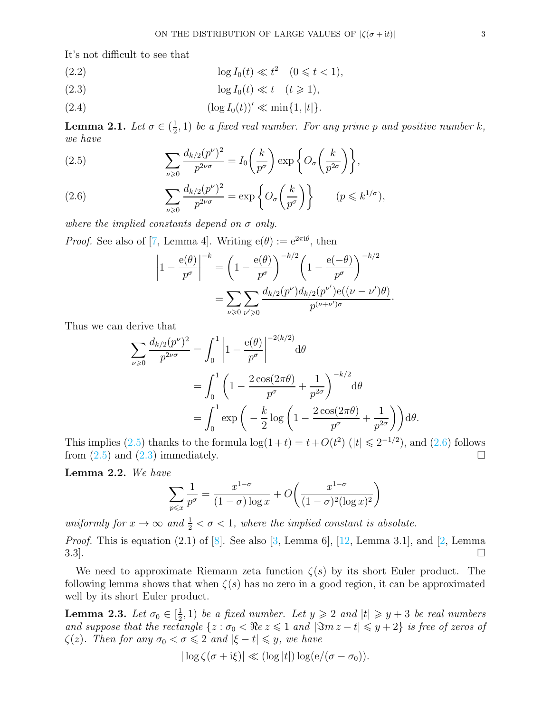It's not difficult to see that

<span id="page-2-5"></span>(2.2) 
$$
\log I_0(t) \ll t^2 \quad (0 \leq t < 1),
$$

<span id="page-2-2"></span>
$$
(2.3) \t\t \tlog I_0(t) \ll t \t (t \geq 1),
$$

<span id="page-2-6"></span>(2.4) 
$$
(\log I_0(t))' \ll \min\{1, |t|\}.
$$

<span id="page-2-4"></span>Lemma 2.1. Let  $\sigma \in (\frac{1}{2})$  $(\frac{1}{2}, 1)$  be a fixed real number. For any prime p and positive number k, we have

<span id="page-2-0"></span>(2.5) 
$$
\sum_{\nu \geq 0} \frac{d_{k/2}(p^{\nu})^2}{p^{2\nu\sigma}} = I_0\left(\frac{k}{p^{\sigma}}\right) \exp\left\{O_{\sigma}\left(\frac{k}{p^{2\sigma}}\right)\right\},\,
$$

<span id="page-2-1"></span>(2.6) 
$$
\sum_{\nu \geq 0} \frac{d_{k/2}(p^{\nu})^2}{p^{2\nu\sigma}} = \exp\left\{O_{\sigma}\left(\frac{k}{p^{\sigma}}\right)\right\} \qquad (p \leq k^{1/\sigma}),
$$

where the implied constants depend on  $\sigma$  only.

*Proof.* See also of [\[7,](#page-14-3) Lemma 4]. Writing  $e(\theta) := e^{2\pi i \theta}$ , then

$$
\left| 1 - \frac{e(\theta)}{p^{\sigma}} \right|^{-k} = \left( 1 - \frac{e(\theta)}{p^{\sigma}} \right)^{-k/2} \left( 1 - \frac{e(-\theta)}{p^{\sigma}} \right)^{-k/2} = \sum_{\nu \ge 0} \sum_{\nu' \ge 0} \frac{d_{k/2}(p^{\nu}) d_{k/2}(p^{\nu'}) e((\nu - \nu')\theta)}{p^{(\nu + \nu')\sigma}}.
$$

Thus we can derive that

$$
\sum_{\nu \geq 0} \frac{d_{k/2}(p^{\nu})^2}{p^{2\nu\sigma}} = \int_0^1 \left| 1 - \frac{e(\theta)}{p^{\sigma}} \right|^{-2(k/2)} d\theta
$$
  
= 
$$
\int_0^1 \left( 1 - \frac{2\cos(2\pi\theta)}{p^{\sigma}} + \frac{1}{p^{2\sigma}} \right)^{-k/2} d\theta
$$
  
= 
$$
\int_0^1 \exp\left( -\frac{k}{2} \log\left( 1 - \frac{2\cos(2\pi\theta)}{p^{\sigma}} + \frac{1}{p^{2\sigma}} \right) \right) d\theta.
$$

This implies  $(2.5)$  thanks to the formula  $\log(1+t) = t + O(t^2)$   $(|t| \le 2^{-1/2})$ , and  $(2.6)$  follows from  $(2.5)$  and  $(2.3)$  immediately.

Lemma 2.2. We have

$$
\sum_{p \leqslant x} \frac{1}{p^{\sigma}} = \frac{x^{1-\sigma}}{(1-\sigma)\log x} + O\left(\frac{x^{1-\sigma}}{(1-\sigma)^2(\log x)^2}\right)
$$

uniformly for  $x \to \infty$  and  $\frac{1}{2} < \sigma < 1$ , where the implied constant is absolute.

*Proof.* This is equation  $(2.1)$  of  $[8]$ . See also  $[3, \text{ Lemma 6}], [12, \text{Lemma 3.1}],$  $[3, \text{ Lemma 6}], [12, \text{Lemma 3.1}],$  $[3, \text{ Lemma 6}], [12, \text{Lemma 3.1}],$  and  $[2, \text{Lemma } 3]$  $3.3$ ].

We need to approximate Riemann zeta function  $\zeta(s)$  by its short Euler product. The following lemma shows that when  $\zeta(s)$  has no zero in a good region, it can be approximated well by its short Euler product.

<span id="page-2-3"></span>Lemma 2.3. Let  $\sigma_0 \in [\frac{1}{2}]$  $\left(\frac{1}{2}, 1\right)$  be a fixed number. Let  $y \geqslant 2$  and  $|t| \geqslant y + 3$  be real numbers and suppose that the rectangle  $\{z : \sigma_0 < \Re e \, z \leq 1 \text{ and } |\Im m z - t| \leq y + 2\}$  is free of zeros of  $\zeta(z)$ . Then for any  $\sigma_0 < \sigma \leq 2$  and  $|\xi - t| \leq y$ , we have

$$
|\log \zeta(\sigma + i\xi)| \ll (\log |t|) \log (e/(\sigma - \sigma_0)).
$$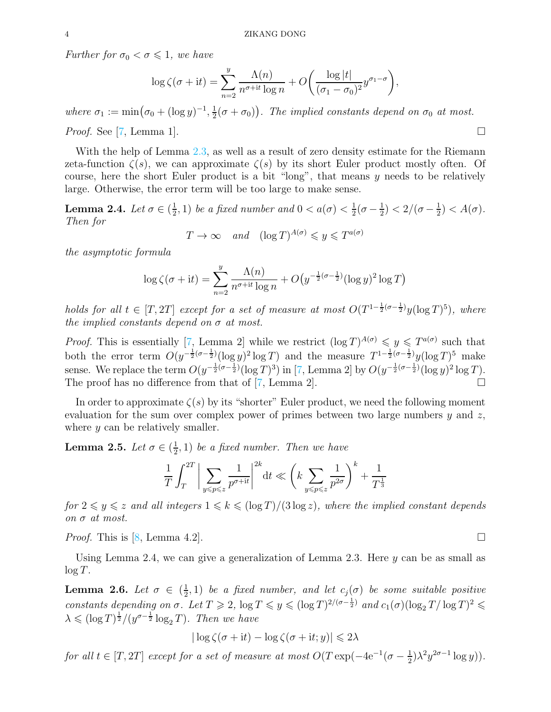Further for  $\sigma_0 < \sigma \leq 1$ , we have

$$
\log \zeta(\sigma + it) = \sum_{n=2}^{y} \frac{\Lambda(n)}{n^{\sigma+it} \log n} + O\left(\frac{\log |t|}{(\sigma_1 - \sigma_0)^2} y^{\sigma_1 - \sigma}\right),\,
$$

where  $\sigma_1 := \min(\sigma_0 + (\log y)^{-1}, \frac{1}{2})$  $(\frac{1}{2}(\sigma + \sigma_0))$ . The implied constants depend on  $\sigma_0$  at most. *Proof.* See [\[7,](#page-14-3) Lemma 1].

With the help of Lemma [2.3,](#page-2-3) as well as a result of zero density estimate for the Riemann zeta-function  $\zeta(s)$ , we can approximate  $\zeta(s)$  by its short Euler product mostly often. Of course, here the short Euler product is a bit "long", that means  $y$  needs to be relatively large. Otherwise, the error term will be too large to make sense.

<span id="page-3-0"></span>**Lemma 2.4.** Let  $\sigma \in (\frac{1}{2})$  $(\frac{1}{2}, 1)$  be a fixed number and  $0 < a(\sigma) < \frac{1}{2}$  $rac{1}{2}(\sigma - \frac{1}{2})$  $(\frac{1}{2}) < 2/(\sigma - \frac{1}{2})$  $(\frac{1}{2}) < A(\sigma).$ Then for

$$
T \to \infty \quad and \quad (\log T)^{A(\sigma)} \leqslant y \leqslant T^{a(\sigma)}
$$

the asymptotic formula

$$
\log \zeta(\sigma + it) = \sum_{n=2}^{y} \frac{\Lambda(n)}{n^{\sigma + it} \log n} + O\left(y^{-\frac{1}{2}(\sigma - \frac{1}{2})} (\log y)^2 \log T\right)
$$

holds for all  $t \in [T, 2T]$  except for a set of measure at most  $O(T^{1-\frac{1}{2}(\sigma-\frac{1}{2})}y(\log T)^5)$ , where the implied constants depend on  $\sigma$  at most.

*Proof.* This is essentially [\[7,](#page-14-3) Lemma 2] while we restrict  $(\log T)^{A(\sigma)} \leq y \leq T^{a(\sigma)}$  such that both the error term  $O(y^{-\frac{1}{2}(\sigma-\frac{1}{2})}(\log y)^2 \log T)$  and the measure  $T^{1-\frac{1}{2}(\sigma-\frac{1}{2})}y(\log T)^5$  make sense. We replace the term  $O(y^{-\frac{1}{2}(\sigma-\frac{1}{2})}(\log T)^3)$  in [\[7,](#page-14-3) Lemma 2] by  $O(y^{-\frac{1}{2}(\sigma-\frac{1}{2})}(\log y)^2 \log T)$ . The proof has no difference from that of [\[7,](#page-14-3) Lemma 2].  $\Box$ 

In order to approximate  $\zeta(s)$  by its "shorter" Euler product, we need the following moment evaluation for the sum over complex power of primes between two large numbers  $y$  and  $z$ , where  $y$  can be relatively smaller.

<span id="page-3-1"></span>Lemma 2.5. Let  $\sigma \in (\frac{1}{2})$  $(\frac{1}{2}, 1)$  be a fixed number. Then we have

$$
\frac{1}{T} \int_{T}^{2T} \bigg| \sum_{y \leq p \leq z} \frac{1}{p^{\sigma+it}} \bigg|^{2k} dt \ll \left( k \sum_{y \leq p \leq z} \frac{1}{p^{2\sigma}} \right)^{k} + \frac{1}{T^{\frac{1}{3}}}
$$

for  $2 \leq y \leq z$  and all integers  $1 \leq k \leq (\log T)/(3 \log z)$ , where the implied constant depends on σ at most.

*Proof.* This is [\[8,](#page-14-4) Lemma 4.2].

Using Lemma 2.4, we can give a generalization of Lemma 2.3. Here  $y$  can be as small as  $\log T$ .

<span id="page-3-2"></span>Lemma 2.6. Let  $\sigma \in (\frac{1}{2})$  $(\frac{1}{2},1)$  be a fixed number, and let  $c_j(\sigma)$  be some suitable positive constants depending on  $\sigma$ . Let  $T \geq 2$ ,  $\log T \leq y \leq (\log T)^{2/(\sigma - \frac{1}{2})}$  and  $c_1(\sigma)(\log_2 T/\log T)^2 \leq$  $\lambda \leqslant (\log T)^{\frac{1}{2}}/(\mathcal{Y}^{\sigma-\frac{1}{2}} \log_2 T)$ . Then we have

$$
|\log \zeta(\sigma + \mathrm{i}t) - \log \zeta(\sigma + \mathrm{i}t; y)| \leq 2\lambda
$$

for all  $t \in [T, 2T]$  except for a set of measure at most  $O(T \exp(-4e^{-1}(\sigma - \frac{1}{2}))$  $\frac{1}{2}$  $\lambda^2 y^{2\sigma-1} \log y)$ .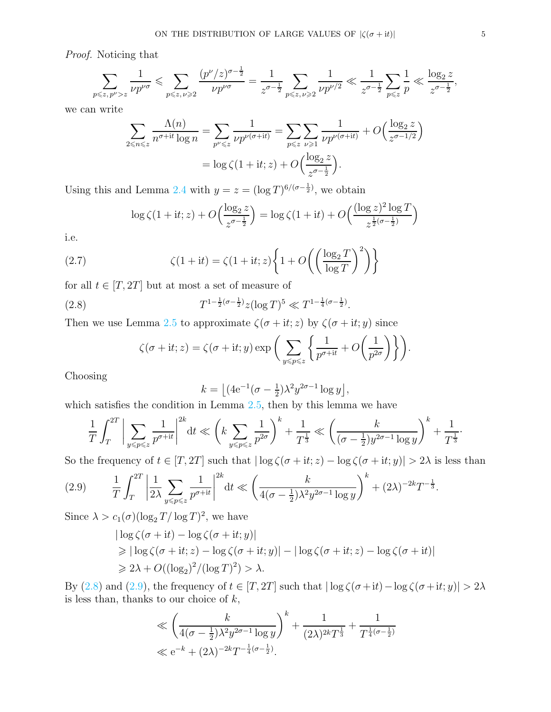Proof. Noticing that

$$
\sum_{p \leq z, p^{\nu} > z} \frac{1}{\nu p^{\nu \sigma}} \leq \sum_{p \leq z, \nu \geq 2} \frac{(p^{\nu}/z)^{\sigma - \frac{1}{2}}}{\nu p^{\nu \sigma}} = \frac{1}{z^{\sigma - \frac{1}{2}}} \sum_{p \leq z, \nu \geq 2} \frac{1}{\nu p^{\nu/2}} \ll \frac{1}{z^{\sigma - \frac{1}{2}}} \sum_{p \leq z} \frac{1}{p} \ll \frac{\log_2 z}{z^{\sigma - \frac{1}{2}}},
$$

we can write

$$
\sum_{2 \le n \le z} \frac{\Lambda(n)}{n^{\sigma + it} \log n} = \sum_{p^{\nu} \le z} \frac{1}{\nu p^{\nu(\sigma + it)}} = \sum_{p \le z} \sum_{\nu \ge 1} \frac{1}{\nu p^{\nu(\sigma + it)}} + O\left(\frac{\log_2 z}{z^{\sigma - 1/2}}\right)
$$

$$
= \log \zeta(1 + it; z) + O\left(\frac{\log_2 z}{z^{\sigma - \frac{1}{2}}}\right).
$$

Using this and Lemma [2.4](#page-3-0) with  $y = z = (\log T)^{6/(\sigma - \frac{1}{2})}$ , we obtain

$$
\log \zeta(1 + it; z) + O\left(\frac{\log_2 z}{z^{\sigma - \frac{1}{2}}}\right) = \log \zeta(1 + it) + O\left(\frac{(\log z)^2 \log T}{z^{\frac{1}{2}(\sigma - \frac{1}{2})}}\right)
$$

i.e.

(2.7) 
$$
\zeta(1+it) = \zeta(1+it;z)\left\{1+O\left(\left(\frac{\log_2 T}{\log T}\right)^2\right)\right\}
$$

for all  $t \in [T, 2T]$  but at most a set of measure of

(2.8) 
$$
T^{1-\frac{1}{2}(\sigma-\frac{1}{2})}z(\log T)^5 \ll T^{1-\frac{1}{4}(\sigma-\frac{1}{2})}.
$$

Then we use Lemma [2.5](#page-3-1) to approximate  $\zeta(\sigma + it; z)$  by  $\zeta(\sigma + it; y)$  since

<span id="page-4-0"></span>
$$
\zeta(\sigma + it; z) = \zeta(\sigma + it; y) \exp\bigg(\sum_{y \leq p \leq z} \bigg\{ \frac{1}{p^{\sigma + it}} + O\bigg(\frac{1}{p^{2\sigma}}\bigg) \bigg\}\bigg).
$$

Choosing

$$
k = \left[ (4e^{-1}(\sigma - \frac{1}{2})\lambda^2 y^{2\sigma - 1} \log y \right],
$$

which satisfies the condition in Lemma  $2.5$ , then by this lemma we have

$$
\frac{1}{T} \int_{T}^{2T} \bigg| \sum_{y \leq p \leq z} \frac{1}{p^{\sigma+it}} \bigg|^{2k} dt \ll \left( k \sum_{y \leq p \leq z} \frac{1}{p^{2\sigma}} \right)^{k} + \frac{1}{T^{\frac{1}{3}}} \ll \left( \frac{k}{(\sigma - \frac{1}{2})y^{2\sigma - 1} \log y} \right)^{k} + \frac{1}{T^{\frac{1}{3}}}.
$$

So the frequency of  $t \in [T, 2T]$  such that  $|\log \zeta(\sigma + it; z) - \log \zeta(\sigma + it; y)| > 2\lambda$  is less than

<span id="page-4-1"></span>(2.9) 
$$
\frac{1}{T} \int_{T}^{2T} \left| \frac{1}{2\lambda} \sum_{y \leqslant p \leqslant z} \frac{1}{p^{\sigma+it}} \right|^{2k} dt \ll \left( \frac{k}{4(\sigma - \frac{1}{2})\lambda^2 y^{2\sigma - 1} \log y} \right)^k + (2\lambda)^{-2k} T^{-\frac{1}{3}}.
$$

Since  $\lambda > c_1(\sigma)(\log_2 T/\log T)^2$ , we have

$$
|\log \zeta(\sigma + it) - \log \zeta(\sigma + it; y)|
$$
  
\n
$$
\geq |\log \zeta(\sigma + it; z) - \log \zeta(\sigma + it; y)| - |\log \zeta(\sigma + it; z) - \log \zeta(\sigma + it)|
$$
  
\n
$$
\geq 2\lambda + O((\log_2)^2/(\log T)^2) > \lambda.
$$

By [\(2.8\)](#page-4-0) and [\(2.9\)](#page-4-1), the frequency of  $t \in [T, 2T]$  such that  $|\log \zeta(\sigma + it) - \log \zeta(\sigma + it; y)| > 2\lambda$ is less than, thanks to our choice of  $k$ ,

$$
\ll \left(\frac{k}{4(\sigma - \frac{1}{2})\lambda^2 y^{2\sigma - 1} \log y}\right)^k + \frac{1}{(2\lambda)^{2k} T^{\frac{1}{3}}} + \frac{1}{T^{\frac{1}{4}(\sigma - \frac{1}{2})}}\n\ll e^{-k} + (2\lambda)^{-2k} T^{-\frac{1}{4}(\sigma - \frac{1}{2})}.
$$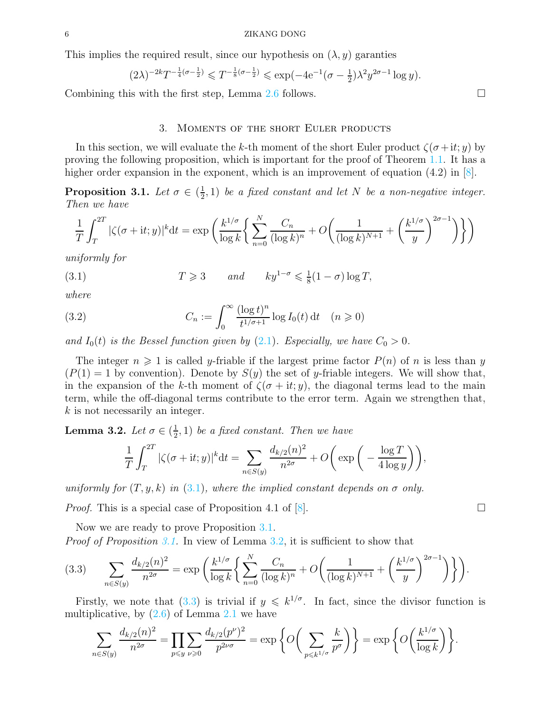This implies the required result, since our hypothesis on  $(\lambda, y)$  garanties

$$
(2\lambda)^{-2k}T^{-\frac{1}{4}(\sigma-\frac{1}{2})} \leq T^{-\frac{1}{8}(\sigma-\frac{1}{2})} \leq \exp(-4e^{-1}(\sigma-\frac{1}{2})\lambda^2 y^{2\sigma-1}\log y).
$$

Combining this with the first step, Lemma [2.6](#page-3-2) follows.  $\square$ 

### 3. Moments of the short Euler products

In this section, we will evaluate the k-th moment of the short Euler product  $\zeta(\sigma + it; y)$  by proving the following proposition, which is important for the proof of Theorem [1.1.](#page-1-1) It has a higher order expansion in the exponent, which is an improvement of equation (4.2) in [\[8\]](#page-14-4).

<span id="page-5-2"></span>Proposition 3.1. Let  $\sigma \in (\frac{1}{2})$  $(\frac{1}{2}, 1)$  be a fixed constant and let N be a non-negative integer. Then we have

$$
\frac{1}{T} \int_T^{2T} |\zeta(\sigma+it; y)|^k dt = \exp\left(\frac{k^{1/\sigma}}{\log k} \left\{ \sum_{n=0}^N \frac{C_n}{(\log k)^n} + O\left(\frac{1}{(\log k)^{N+1}} + \left(\frac{k^{1/\sigma}}{y}\right)^{2\sigma-1}\right) \right\} \right)
$$

uniformly for

<span id="page-5-1"></span>(3.1) 
$$
T \geqslant 3 \quad \text{and} \quad ky^{1-\sigma} \leqslant \frac{1}{8}(1-\sigma)\log T,
$$

where

<span id="page-5-0"></span>(3.2) 
$$
C_n := \int_0^\infty \frac{(\log t)^n}{t^{1/\sigma + 1}} \log I_0(t) dt \quad (n \ge 0)
$$

and  $I_0(t)$  is the Bessel function given by [\(2.1\)](#page-1-2). Especially, we have  $C_0 > 0$ .

The integer  $n \geq 1$  is called y-friable if the largest prime factor  $P(n)$  of n is less than y  $(P(1) = 1$  by convention). Denote by  $S(y)$  the set of y-friable integers. We will show that, in the expansion of the k-th moment of  $\zeta(\sigma + it; y)$ , the diagonal terms lead to the main term, while the off-diagonal terms contribute to the error term. Again we strengthen that, k is not necessarily an integer.

<span id="page-5-3"></span>Lemma 3.2. Let  $\sigma \in (\frac{1}{2})$  $(\frac{1}{2}, 1)$  be a fixed constant. Then we have

$$
\frac{1}{T} \int_{T}^{2T} |\zeta(\sigma + it; y)|^{k} dt = \sum_{n \in S(y)} \frac{d_{k/2}(n)^{2}}{n^{2\sigma}} + O\left(\exp\left(-\frac{\log T}{4 \log y}\right)\right),
$$

uniformly for  $(T, y, k)$  in [\(3.1\)](#page-5-1), where the implied constant depends on  $\sigma$  only.

*Proof.* This is a special case of Proposition 4.1 of  $[8]$ .

Now we are ready to prove Proposition [3.1.](#page-5-2) *Proof of Proposition [3.1.](#page-5-2)* In view of Lemma [3.2,](#page-5-3) it is sufficient to show that

<span id="page-5-4"></span>
$$
(3.3) \qquad \sum_{n \in S(y)} \frac{d_{k/2}(n)^2}{n^{2\sigma}} = \exp\left(\frac{k^{1/\sigma}}{\log k} \left\{ \sum_{n=0}^N \frac{C_n}{(\log k)^n} + O\left(\frac{1}{(\log k)^{N+1}} + \left(\frac{k^{1/\sigma}}{y}\right)^{2\sigma-1}\right) \right\} \right).
$$

Firstly, we note that  $(3.3)$  is trivial if  $y \leq k^{1/\sigma}$ . In fact, since the divisor function is multiplicative, by  $(2.6)$  of Lemma [2.1](#page-2-4) we have

$$
\sum_{n\in S(y)}\frac{d_{k/2}(n)^2}{n^{2\sigma}}=\prod_{p\leqslant y}\sum_{\nu\geqslant 0}\frac{d_{k/2}(p^\nu)^2}{p^{2\nu\sigma}}=\exp\bigg\{O\bigg(\sum_{p\leqslant k^{1/\sigma}}\frac{k}{p^\sigma}\bigg)\bigg\}=\exp\bigg\{O\bigg(\frac{k^{1/\sigma}}{\log k}\bigg)\bigg\}.
$$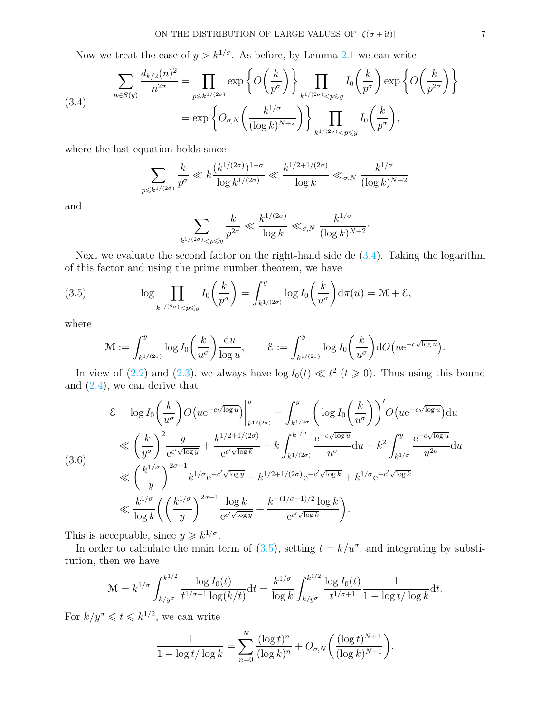Now we treat the case of  $y > k^{1/\sigma}$ . As before, by Lemma [2.1](#page-2-4) we can write

<span id="page-6-0"></span>(3.4) 
$$
\sum_{n \in S(y)} \frac{d_{k/2}(n)^2}{n^{2\sigma}} = \prod_{p \leq k^{1/(2\sigma)}} \exp\left\{O\left(\frac{k}{p^{\sigma}}\right)\right\} \prod_{k^{1/(2\sigma)} < p \leq y} I_0\left(\frac{k}{p^{\sigma}}\right) \exp\left\{O\left(\frac{k}{p^{2\sigma}}\right)\right\} = \exp\left\{O_{\sigma,N}\left(\frac{k^{1/\sigma}}{(\log k)^{N+2}}\right)\right\} \prod_{k^{1/(2\sigma)} < p \leq y} I_0\left(\frac{k}{p^{\sigma}}\right),
$$

where the last equation holds since

$$
\sum_{p \leq k^{1/(2\sigma)}} \frac{k}{p^{\sigma}} \ll k \frac{(k^{1/(2\sigma)})^{1-\sigma}}{\log k^{1/(2\sigma)}} \ll \frac{k^{1/2+1/(2\sigma)}}{\log k} \ll_{\sigma, N} \frac{k^{1/\sigma}}{(\log k)^{N+2}}
$$

and

$$
\sum_{k^{1/(2\sigma)} < p \leqslant y} \frac{k}{p^{2\sigma}} \ll \frac{k^{1/(2\sigma)}}{\log k} \ll_{\sigma, N} \frac{k^{1/\sigma}}{(\log k)^{N+2}}.
$$

Next we evaluate the second factor on the right-hand side de  $(3.4)$ . Taking the logarithm of this factor and using the prime number theorem, we have

(3.5) 
$$
\log \prod_{k^{1/(2\sigma)} < p \leq y} I_0\left(\frac{k}{p^{\sigma}}\right) = \int_{k^{1/(2\sigma)}}^y \log I_0\left(\frac{k}{u^{\sigma}}\right) d\pi(u) = \mathcal{M} + \mathcal{E},
$$

where

<span id="page-6-1"></span>
$$
\mathcal{M} := \int_{k^{1/(2\sigma)}}^y \log I_0\left(\frac{k}{u^{\sigma}}\right) \frac{\mathrm{d}u}{\log u}, \qquad \mathcal{E} := \int_{k^{1/(2\sigma)}}^y \log I_0\left(\frac{k}{u^{\sigma}}\right) \mathrm{d}O\left(u e^{-c\sqrt{\log u}}\right).
$$

In view of [\(2.2\)](#page-2-5) and [\(2.3\)](#page-2-2), we always have  $\log I_0(t) \ll t^2$  ( $t \ge 0$ ). Thus using this bound and [\(2.4\)](#page-2-6), we can derive that

<span id="page-6-2"></span>
$$
\mathcal{E} = \log I_0 \left(\frac{k}{u^{\sigma}}\right) O\left(u e^{-c\sqrt{\log u}}\right) \Big|_{k^{1/(2\sigma)}}^y - \int_{k^{1/2\sigma}}^y \left(\log I_0 \left(\frac{k}{u^{\sigma}}\right)\right)' O\left(u e^{-c\sqrt{\log u}}\right) du
$$
\n
$$
\ll \left(\frac{k}{y^{\sigma}}\right)^2 \frac{y}{e^{c'\sqrt{\log y}}} + \frac{k^{1/2 + 1/(2\sigma)}}{e^{c'\sqrt{\log k}}} + k \int_{k^{1/(2\sigma)}}^{k^{1/\sigma}} \frac{e^{-c\sqrt{\log u}}}{u^{\sigma}} du + k^2 \int_{k^{1/\sigma}}^y \frac{e^{-c\sqrt{\log u}}}{u^{2\sigma}} du
$$
\n
$$
\ll \left(\frac{k^{1/\sigma}}{y}\right)^{2\sigma - 1} k^{1/\sigma} e^{-c'\sqrt{\log y}} + k^{1/2 + 1/(2\sigma)} e^{-c'\sqrt{\log k}} + k^{1/\sigma} e^{-c'\sqrt{\log k}}
$$
\n
$$
\ll \frac{k^{1/\sigma}}{\log k} \left(\left(\frac{k^{1/\sigma}}{y}\right)^{2\sigma - 1} \frac{\log k}{e^{c'\sqrt{\log y}}} + \frac{k^{-(1/\sigma - 1)/2} \log k}{e^{c'\sqrt{\log k}}} \right).
$$

This is acceptable, since  $y \geq k^{1/\sigma}$ .

In order to calculate the main term of  $(3.5)$ , setting  $t = k/u^{\sigma}$ , and integrating by substitution, then we have

$$
\mathcal{M} = k^{1/\sigma} \int_{k/y^{\sigma}}^{k^{1/2}} \frac{\log I_0(t)}{t^{1/\sigma+1} \log(k/t)} dt = \frac{k^{1/\sigma}}{\log k} \int_{k/y^{\sigma}}^{k^{1/2}} \frac{\log I_0(t)}{t^{1/\sigma+1}} \frac{1}{1 - \log t/\log k} dt.
$$

For  $k/y^{\sigma} \leqslant t \leqslant k^{1/2}$ , we can write

$$
\frac{1}{1 - \log t / \log k} = \sum_{n=0}^{N} \frac{(\log t)^n}{(\log k)^n} + O_{\sigma, N}\left(\frac{(\log t)^{N+1}}{(\log k)^{N+1}}\right).
$$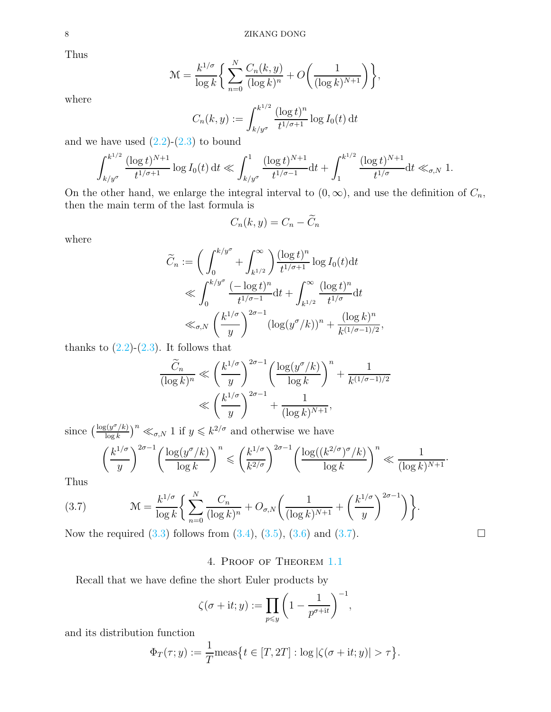Thus

$$
\mathcal{M} = \frac{k^{1/\sigma}}{\log k} \bigg\{ \sum_{n=0}^{N} \frac{C_n(k, y)}{(\log k)^n} + O\bigg(\frac{1}{(\log k)^{N+1}}\bigg) \bigg\},
$$

where

$$
C_n(k, y) := \int_{k/y^{\sigma}}^{k^{1/2}} \frac{(\log t)^n}{t^{1/\sigma + 1}} \log I_0(t) dt
$$

and we have used  $(2.2)-(2.3)$  $(2.2)-(2.3)$  to bound

$$
\int_{k/y^{\sigma}}^{k^{1/2}} \frac{(\log t)^{N+1}}{t^{1/\sigma+1}} \log I_0(t) dt \ll \int_{k/y^{\sigma}}^1 \frac{(\log t)^{N+1}}{t^{1/\sigma-1}} dt + \int_1^{k^{1/2}} \frac{(\log t)^{N+1}}{t^{1/\sigma}} dt \ll_{\sigma, N} 1.
$$

On the other hand, we enlarge the integral interval to  $(0, \infty)$ , and use the definition of  $C_n$ , then the main term of the last formula is

$$
C_n(k, y) = C_n - \widetilde{C}_n
$$

where

$$
\widetilde{C}_n := \left(\int_0^{k/y^{\sigma}} + \int_{k^{1/2}}^{\infty} \right) \frac{(\log t)^n}{t^{1/\sigma+1}} \log I_0(t) dt
$$
\n
$$
\ll \int_0^{k/y^{\sigma}} \frac{(-\log t)^n}{t^{1/\sigma-1}} dt + \int_{k^{1/2}}^{\infty} \frac{(\log t)^n}{t^{1/\sigma}} dt
$$
\n
$$
\ll_{\sigma, N} \left(\frac{k^{1/\sigma}}{y}\right)^{2\sigma-1} (\log(y^{\sigma}/k))^n + \frac{(\log k)^n}{k^{(1/\sigma-1)/2}},
$$

thanks to  $(2.2)-(2.3)$  $(2.2)-(2.3)$ . It follows that

$$
\frac{\widetilde{C}_n}{(\log k)^n} \ll \left(\frac{k^{1/\sigma}}{y}\right)^{2\sigma - 1} \left(\frac{\log(y^\sigma/k)}{\log k}\right)^n + \frac{1}{k^{(1/\sigma - 1)/2}}
$$

$$
\ll \left(\frac{k^{1/\sigma}}{y}\right)^{2\sigma - 1} + \frac{1}{(\log k)^{N+1}},
$$

since  $\left(\frac{\log(y^{\sigma}/k)}{\log k}\right)$  $\frac{\log(k)}{\log k}$ <sup>n</sup>  $\ll_{\sigma, N} 1$  if  $y \leq k^{2/\sigma}$  and otherwise we have

<span id="page-7-0"></span>
$$
\left(\frac{k^{1/\sigma}}{y}\right)^{2\sigma-1} \left(\frac{\log(y^{\sigma}/k)}{\log k}\right)^n \leqslant \left(\frac{k^{1/\sigma}}{k^{2/\sigma}}\right)^{2\sigma-1} \left(\frac{\log((k^{2/\sigma})^{\sigma}/k)}{\log k}\right)^n \ll \frac{1}{(\log k)^{N+1}}.
$$

Thus

(3.7) 
$$
\mathcal{M} = \frac{k^{1/\sigma}}{\log k} \left\{ \sum_{n=0}^{N} \frac{C_n}{(\log k)^n} + O_{\sigma, N} \left( \frac{1}{(\log k)^{N+1}} + \left( \frac{k^{1/\sigma}}{y} \right)^{2\sigma - 1} \right) \right\}.
$$

Now the required  $(3.3)$  follows from  $(3.4)$ ,  $(3.5)$ ,  $(3.6)$  and  $(3.7)$ .

# 4. Proof of Theorem [1.1](#page-1-1)

Recall that we have define the short Euler products by

$$
\zeta(\sigma + it; y) := \prod_{p \leq y} \left(1 - \frac{1}{p^{\sigma + it}}\right)^{-1},
$$

and its distribution function

$$
\Phi_T(\tau; y) := \frac{1}{T} \text{meas} \big\{ t \in [T, 2T] : \log |\zeta(\sigma + \mathrm{i}t; y)| > \tau \big\}.
$$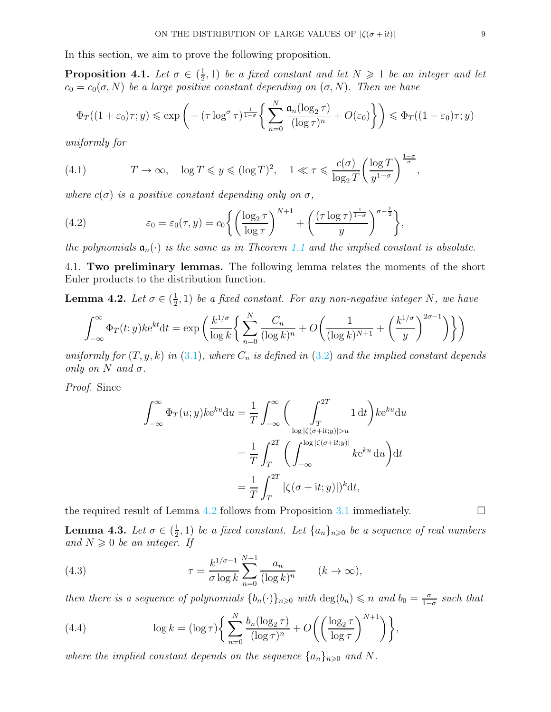In this section, we aim to prove the following proposition.

<span id="page-8-0"></span>Proposition 4.1. Let  $\sigma \in (\frac{1}{2})$  $(\frac{1}{2}, 1)$  be a fixed constant and let  $N \geq 1$  be an integer and let  $c_0 = c_0(\sigma, N)$  be a large positive constant depending on  $(\sigma, N)$ . Then we have

$$
\Phi_T((1+\varepsilon_0)\tau; y) \leqslant \exp\left(-\left(\tau \log^{\sigma} \tau\right)^{\frac{1}{1-\sigma}} \left\{\sum_{n=0}^{N} \frac{\mathfrak{a}_n(\log_2 \tau)}{(\log \tau)^n} + O(\varepsilon_0)\right\}\right) \leqslant \Phi_T((1-\varepsilon_0)\tau; y)
$$

uniformly for

<span id="page-8-4"></span>(4.1) 
$$
T \to \infty
$$
,  $\log T \leq y \leq (\log T)^2$ ,  $1 \ll \tau \leq \frac{c(\sigma)}{\log_2 T} \left(\frac{\log T}{y^{1-\sigma}}\right)^{\frac{1-\sigma}{\sigma}}$ ,

where  $c(\sigma)$  is a positive constant depending only on  $\sigma$ ,

<span id="page-8-5"></span>(4.2) 
$$
\varepsilon_0 = \varepsilon_0(\tau, y) = c_0 \left\{ \left( \frac{\log_2 \tau}{\log \tau} \right)^{N+1} + \left( \frac{(\tau \log \tau)^{\frac{1}{1-\sigma}}}{y} \right)^{\sigma - \frac{1}{2}} \right\},
$$

the polynomials  $a_n(\cdot)$  is the same as in Theorem [1.1](#page-1-1) and the implied constant is absolute.

4.1. Two preliminary lemmas. The following lemma relates the moments of the short Euler products to the distribution function.

<span id="page-8-1"></span>Lemma 4.2. Let  $\sigma \in (\frac{1}{2})$  $(\frac{1}{2},1)$  be a fixed constant. For any non-negative integer N, we have

$$
\int_{-\infty}^{\infty} \Phi_T(t; y) k e^{kt} dt = \exp\left(\frac{k^{1/\sigma}}{\log k} \left\{ \sum_{n=0}^{N} \frac{C_n}{(\log k)^n} + O\left(\frac{1}{(\log k)^{N+1}} + \left(\frac{k^{1/\sigma}}{y}\right)^{2\sigma-1}\right) \right\} \right)
$$

uniformly for  $(T, y, k)$  in  $(3.1)$ , where  $C_n$  is defined in  $(3.2)$  and the implied constant depends only on N and  $\sigma$ .

Proof. Since

$$
\int_{-\infty}^{\infty} \Phi_T(u; y) k e^{ku} du = \frac{1}{T} \int_{-\infty}^{\infty} \left( \int_{T}^{2T} 1 dt \right) k e^{ku} du
$$

$$
= \frac{1}{T} \int_{T}^{2T} \left( \int_{-\infty}^{\log |\zeta(\sigma+it; y)| > u} k e^{ku} du \right) dt
$$

$$
= \frac{1}{T} \int_{T}^{2T} |\zeta(\sigma+it; y)|^k dt,
$$

the required result of Lemma [4.2](#page-8-1) follows from Proposition [3.1](#page-5-2) immediately.  $\Box$ 

<span id="page-8-3"></span>Lemma 4.3. Let  $\sigma \in (\frac{1}{2})$  $\frac{1}{2}$ , 1) be a fixed constant. Let  $\{a_n\}_{n\geqslant 0}$  be a sequence of real numbers and  $N \geqslant 0$  be an integer. If

<span id="page-8-2"></span>(4.3) 
$$
\tau = \frac{k^{1/\sigma - 1}}{\sigma \log k} \sum_{n=0}^{N+1} \frac{a_n}{(\log k)^n} \qquad (k \to \infty),
$$

then there is a sequence of polynomials  $\{b_n(\cdot)\}_{n\geq 0}$  with  $\deg(b_n) \leq n$  and  $b_0 = \frac{\sigma}{1-\sigma}$  $\frac{\sigma}{1-\sigma}$  such that

(4.4) 
$$
\log k = (\log \tau) \left\{ \sum_{n=0}^{N} \frac{b_n (\log_2 \tau)}{(\log \tau)^n} + O\left( \left( \frac{\log_2 \tau}{\log \tau} \right)^{N+1} \right) \right\},
$$

where the implied constant depends on the sequence  $\{a_n\}_{n\geqslant 0}$  and N.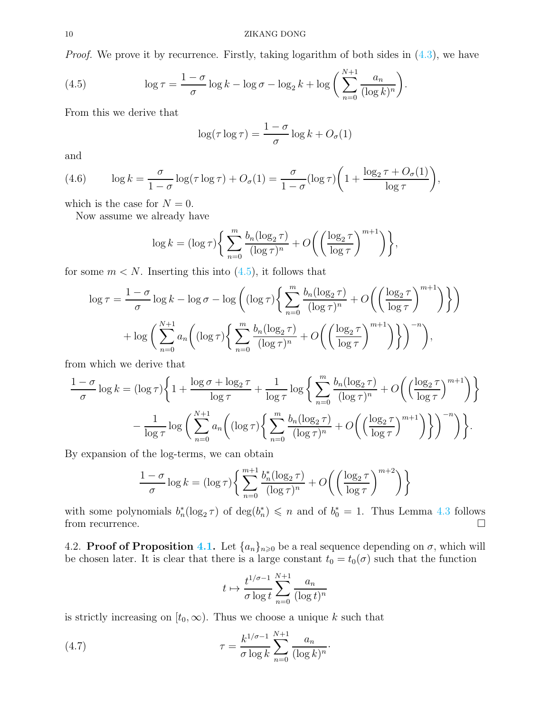Proof. We prove it by recurrence. Firstly, taking logarithm of both sides in  $(4.3)$ , we have

(4.5) 
$$
\log \tau = \frac{1-\sigma}{\sigma} \log k - \log \sigma - \log_2 k + \log \left( \sum_{n=0}^{N+1} \frac{a_n}{(\log k)^n} \right).
$$

From this we derive that

<span id="page-9-0"></span>
$$
\log(\tau \log \tau) = \frac{1 - \sigma}{\sigma} \log k + O_{\sigma}(1)
$$

and

<span id="page-9-1"></span>(4.6) 
$$
\log k = \frac{\sigma}{1-\sigma} \log(\tau \log \tau) + O_{\sigma}(1) = \frac{\sigma}{1-\sigma} (\log \tau) \left(1 + \frac{\log_2 \tau + O_{\sigma}(1)}{\log \tau}\right),
$$

which is the case for  $N = 0$ .

Now assume we already have

$$
\log k = (\log \tau) \bigg\{ \sum_{n=0}^{m} \frac{b_n (\log_2 \tau)}{(\log \tau)^n} + O\bigg( \bigg( \frac{\log_2 \tau}{\log \tau} \bigg)^{m+1} \bigg) \bigg\},\
$$

for some  $m < N$ . Inserting this into  $(4.5)$ , it follows that

$$
\log \tau = \frac{1-\sigma}{\sigma} \log k - \log \sigma - \log \left( (\log \tau) \left\{ \sum_{n=0}^{m} \frac{b_n (\log_2 \tau)}{(\log \tau)^n} + O\left( \left( \frac{\log_2 \tau}{\log \tau} \right)^{m+1} \right) \right\} \right)
$$

$$
+ \log \left( \sum_{n=0}^{N+1} a_n \left( (\log \tau) \left\{ \sum_{n=0}^{m} \frac{b_n (\log_2 \tau)}{(\log \tau)^n} + O\left( \left( \frac{\log_2 \tau}{\log \tau} \right)^{m+1} \right) \right\} \right)^{-n} \right),
$$

from which we derive that

$$
\frac{1-\sigma}{\sigma}\log k = (\log \tau)\left\{1 + \frac{\log \sigma + \log_2 \tau}{\log \tau} + \frac{1}{\log \tau}\log\left\{\sum_{n=0}^m \frac{b_n(\log_2 \tau)}{(\log \tau)^n} + O\left(\left(\frac{\log_2 \tau}{\log \tau}\right)^{m+1}\right)\right\}
$$

$$
-\frac{1}{\log \tau}\log\left(\sum_{n=0}^{N+1} a_n \left((\log \tau)\left\{\sum_{n=0}^m \frac{b_n(\log_2 \tau)}{(\log \tau)^n} + O\left(\left(\frac{\log_2 \tau}{\log \tau}\right)^{m+1}\right)\right\}\right)^{-n}\right)\right\}.
$$

By expansion of the log-terms, we can obtain

$$
\frac{1-\sigma}{\sigma}\log k = (\log \tau) \left\{ \sum_{n=0}^{m+1} \frac{b_n^*(\log_2 \tau)}{(\log \tau)^n} + O\left(\left(\frac{\log_2 \tau}{\log \tau}\right)^{m+2}\right) \right\}
$$

with some polynomials  $b_n^*(\log_2 \tau)$  of  $\deg(b_n^*) \leq n$  and of  $b_0^* = 1$ . Thus Lemma [4.3](#page-8-3) follows from recurrence.  $\Box$ 

4.2. **Proof of Proposition [4.1.](#page-8-0)** Let  $\{a_n\}_{n\geqslant0}$  be a real sequence depending on  $\sigma$ , which will be chosen later. It is clear that there is a large constant  $t_0 = t_0(\sigma)$  such that the function

<span id="page-9-2"></span>
$$
t \mapsto \frac{t^{1/\sigma - 1}}{\sigma \log t} \sum_{n=0}^{N+1} \frac{a_n}{(\log t)^n}
$$

is strictly increasing on  $[t_0, \infty)$ . Thus we choose a unique k such that

(4.7) 
$$
\tau = \frac{k^{1/\sigma - 1}}{\sigma \log k} \sum_{n=0}^{N+1} \frac{a_n}{(\log k)^n}.
$$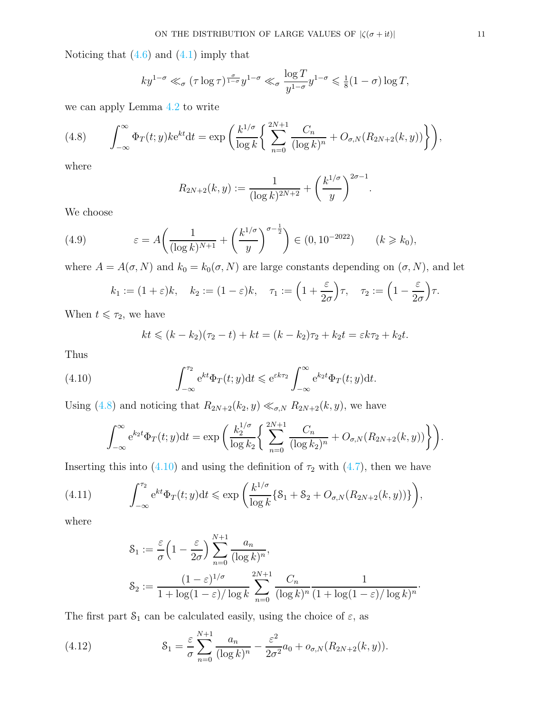Noticing that  $(4.6)$  and  $(4.1)$  imply that

$$
ky^{1-\sigma} \ll_{\sigma} (\tau \log \tau)^{\frac{\sigma}{1-\sigma}} y^{1-\sigma} \ll_{\sigma} \frac{\log T}{y^{1-\sigma}} y^{1-\sigma} \leq \frac{1}{8} (1-\sigma) \log T,
$$

we can apply Lemma [4.2](#page-8-1) to write

<span id="page-10-0"></span>(4.8) 
$$
\int_{-\infty}^{\infty} \Phi_T(t; y) k e^{kt} dt = \exp \left( \frac{k^{1/\sigma}}{\log k} \left\{ \sum_{n=0}^{2N+1} \frac{C_n}{(\log k)^n} + O_{\sigma, N}(R_{2N+2}(k, y)) \right\} \right),
$$

where

$$
R_{2N+2}(k, y) := \frac{1}{(\log k)^{2N+2}} + \left(\frac{k^{1/\sigma}}{y}\right)^{2\sigma - 1}.
$$

We choose

(4.9) 
$$
\varepsilon = A \left( \frac{1}{(\log k)^{N+1}} + \left( \frac{k^{1/\sigma}}{y} \right)^{\sigma - \frac{1}{2}} \right) \in (0, 10^{-2022}) \qquad (k \ge k_0),
$$

where  $A = A(\sigma, N)$  and  $k_0 = k_0(\sigma, N)$  are large constants depending on  $(\sigma, N)$ , and let

$$
k_1 := (1 + \varepsilon)k
$$
,  $k_2 := (1 - \varepsilon)k$ ,  $\tau_1 := \left(1 + \frac{\varepsilon}{2\sigma}\right)\tau$ ,  $\tau_2 := \left(1 - \frac{\varepsilon}{2\sigma}\right)\tau$ .

When  $t \leq \tau_2$ , we have

<span id="page-10-1"></span>
$$
kt \leq (k - k_2)(\tau_2 - t) + kt = (k - k_2)\tau_2 + k_2t = \varepsilon k \tau_2 + k_2t.
$$

Thus

(4.10) 
$$
\int_{-\infty}^{\tau_2} e^{kt} \Phi_T(t; y) dt \leq e^{\varepsilon k \tau_2} \int_{-\infty}^{\infty} e^{k_2 t} \Phi_T(t; y) dt.
$$

Using [\(4.8\)](#page-10-0) and noticing that  $R_{2N+2}(k_2, y) \ll_{\sigma, N} R_{2N+2}(k, y)$ , we have

$$
\int_{-\infty}^{\infty} e^{k_2 t} \Phi_T(t; y) dt = \exp \left( \frac{k_2^{1/\sigma}}{\log k_2} \left\{ \sum_{n=0}^{2N+1} \frac{C_n}{(\log k_2)^n} + O_{\sigma, N}(R_{2N+2}(k, y)) \right\} \right).
$$

Inserting this into [\(4.10\)](#page-10-1) and using the definition of  $\tau_2$  with [\(4.7\)](#page-9-2), then we have

(4.11) 
$$
\int_{-\infty}^{\tau_2} e^{kt} \Phi_T(t; y) dt \le \exp\left(\frac{k^{1/\sigma}}{\log k} \{ \mathcal{S}_1 + \mathcal{S}_2 + O_{\sigma, N}(R_{2N+2}(k, y)) \} \right),
$$

where

<span id="page-10-3"></span>
$$
\begin{aligned} \mathcal{S}_1 &:= \frac{\varepsilon}{\sigma} \left( 1 - \frac{\varepsilon}{2\sigma} \right) \sum_{n=0}^{N+1} \frac{a_n}{(\log k)^n}, \\ \mathcal{S}_2 &:= \frac{(1-\varepsilon)^{1/\sigma}}{1 + \log(1-\varepsilon)/\log k} \sum_{n=0}^{2N+1} \frac{C_n}{(\log k)^n} \frac{1}{(1 + \log(1-\varepsilon)/\log k)^n}. \end{aligned}
$$

The first part  $S_1$  can be calculated easily, using the choice of  $\varepsilon$ , as

<span id="page-10-2"></span>(4.12) 
$$
\mathcal{S}_1 = \frac{\varepsilon}{\sigma} \sum_{n=0}^{N+1} \frac{a_n}{(\log k)^n} - \frac{\varepsilon^2}{2\sigma^2} a_0 + o_{\sigma, N}(R_{2N+2}(k, y)).
$$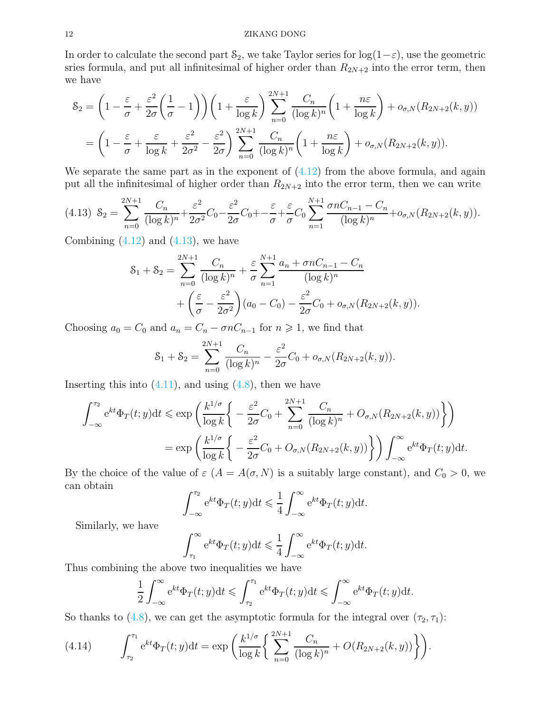#### 12 ZIKANG DONG

In order to calculate the second part  $\mathcal{S}_2$ , we take Taylor series for  $\log(1-\varepsilon)$ , use the geometric sries formula, and put all infinitesimal of higher order than  $R_{2N+2}$  into the error term, then we have

$$
\mathcal{S}_2 = \left(1 - \frac{\varepsilon}{\sigma} + \frac{\varepsilon^2}{2\sigma} \left(\frac{1}{\sigma} - 1\right)\right) \left(1 + \frac{\varepsilon}{\log k}\right) \sum_{n=0}^{2N+1} \frac{C_n}{(\log k)^n} \left(1 + \frac{n\varepsilon}{\log k}\right) + o_{\sigma, N}(R_{2N+2}(k, y))
$$

$$
= \left(1 - \frac{\varepsilon}{\sigma} + \frac{\varepsilon}{\log k} + \frac{\varepsilon^2}{2\sigma^2} - \frac{\varepsilon^2}{2\sigma}\right) \sum_{n=0}^{2N+1} \frac{C_n}{(\log k)^n} \left(1 + \frac{n\varepsilon}{\log k}\right) + o_{\sigma, N}(R_{2N+2}(k, y)).
$$

We separate the same part as in the exponent of  $(4.12)$  from the above formula, and again put all the infinitesimal of higher order than  $R_{2N+2}$  into the error term, then we can write

<span id="page-11-0"></span>
$$
(4.13) \ \mathcal{S}_2 = \sum_{n=0}^{2N+1} \frac{C_n}{(\log k)^n} + \frac{\varepsilon^2}{2\sigma^2} C_0 - \frac{\varepsilon^2}{2\sigma} C_0 + \frac{\varepsilon}{\sigma} + \frac{\varepsilon}{\sigma} C_0 \sum_{n=1}^{N+1} \frac{\sigma n C_{n-1} - C_n}{(\log k)^n} + o_{\sigma, N}(R_{2N+2}(k, y)).
$$

Combining  $(4.12)$  and  $(4.13)$ , we have

$$
S_1 + S_2 = \sum_{n=0}^{2N+1} \frac{C_n}{(\log k)^n} + \frac{\varepsilon}{\sigma} \sum_{n=1}^{N+1} \frac{a_n + \sigma n C_{n-1} - C_n}{(\log k)^n} + \left(\frac{\varepsilon}{\sigma} - \frac{\varepsilon^2}{2\sigma^2}\right) (a_0 - C_0) - \frac{\varepsilon^2}{2\sigma} C_0 + o_{\sigma, N}(R_{2N+2}(k, y)).
$$

Choosing  $a_0 = C_0$  and  $a_n = C_n - \sigma n C_{n-1}$  for  $n \ge 1$ , we find that

$$
S_1 + S_2 = \sum_{n=0}^{2N+1} \frac{C_n}{(\log k)^n} - \frac{\varepsilon^2}{2\sigma} C_0 + o_{\sigma, N}(R_{2N+2}(k, y)).
$$

Inserting this into  $(4.11)$ , and using  $(4.8)$ , then we have

$$
\int_{-\infty}^{\tau_2} e^{kt} \Phi_T(t; y) dt \le \exp\left(\frac{k^{1/\sigma}}{\log k} \left\{-\frac{\varepsilon^2}{2\sigma} C_0 + \sum_{n=0}^{2N+1} \frac{C_n}{(\log k)^n} + O_{\sigma, N}(R_{2N+2}(k, y))\right\}\right)
$$

$$
= \exp\left(\frac{k^{1/\sigma}}{\log k} \left\{-\frac{\varepsilon^2}{2\sigma} C_0 + O_{\sigma, N}(R_{2N+2}(k, y))\right\}\right) \int_{-\infty}^{\infty} e^{kt} \Phi_T(t; y) dt.
$$

By the choice of the value of  $\varepsilon$   $(A = A(\sigma, N)$  is a suitably large constant), and  $C_0 > 0$ , we can obtain

$$
\int_{-\infty}^{\tau_2} e^{kt} \Phi_T(t; y) dt \leq \frac{1}{4} \int_{-\infty}^{\infty} e^{kt} \Phi_T(t; y) dt.
$$

Similarly, we have

$$
\int_{\tau_1}^{\infty} e^{kt} \Phi_T(t; y) dt \leq \frac{1}{4} \int_{-\infty}^{\infty} e^{kt} \Phi_T(t; y) dt.
$$

Thus combining the above two inequalities we have

$$
\frac{1}{2} \int_{-\infty}^{\infty} e^{kt} \Phi_T(t; y) dt \leq \int_{\tau_2}^{\tau_1} e^{kt} \Phi_T(t; y) dt \leq \int_{-\infty}^{\infty} e^{kt} \Phi_T(t; y) dt.
$$

So thanks to [\(4.8\)](#page-10-0), we can get the asymptotic formula for the integral over  $(\tau_2, \tau_1)$ :

<span id="page-11-1"></span>(4.14) 
$$
\int_{\tau_2}^{\tau_1} e^{kt} \Phi_T(t; y) dt = \exp \left( \frac{k^{1/\sigma}}{\log k} \left\{ \sum_{n=0}^{2N+1} \frac{C_n}{(\log k)^n} + O(R_{2N+2}(k, y)) \right\} \right).
$$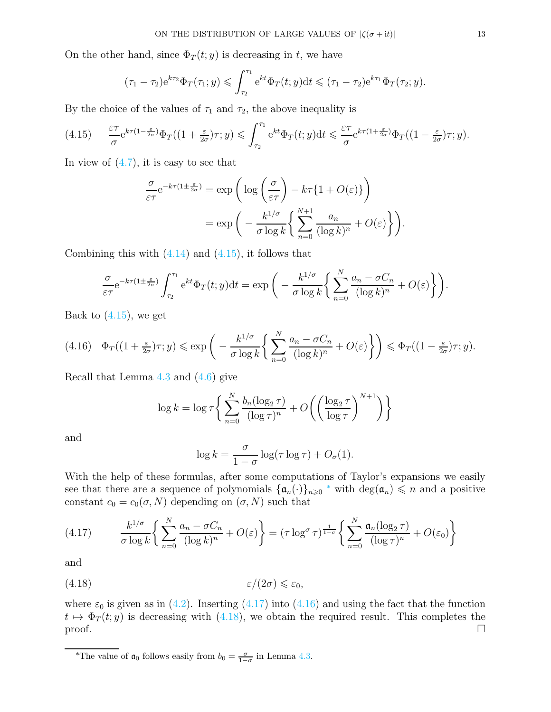On the other hand, since  $\Phi_T(t; y)$  is decreasing in t, we have

$$
(\tau_1 - \tau_2) e^{k\tau_2} \Phi_T(\tau_1; y) \leq \int_{\tau_2}^{\tau_1} e^{kt} \Phi_T(t; y) dt \leq (\tau_1 - \tau_2) e^{k\tau_1} \Phi_T(\tau_2; y).
$$

By the choice of the values of  $\tau_1$  and  $\tau_2$ , the above inequality is

<span id="page-12-0"></span>
$$
(4.15) \qquad \frac{\varepsilon \tau}{\sigma} e^{k\tau(1-\frac{\varepsilon}{2\sigma})} \Phi_T((1+\frac{\varepsilon}{2\sigma})\tau; y) \leqslant \int_{\tau_2}^{\tau_1} e^{kt} \Phi_T(t; y) dt \leqslant \frac{\varepsilon \tau}{\sigma} e^{k\tau(1+\frac{\varepsilon}{2\sigma})} \Phi_T((1-\frac{\varepsilon}{2\sigma})\tau; y).
$$

In view of  $(4.7)$ , it is easy to see that

$$
\frac{\sigma}{\varepsilon\tau} e^{-k\tau(1\pm\frac{\varepsilon}{2\sigma})} = \exp\left(\log\left(\frac{\sigma}{\varepsilon\tau}\right) - k\tau\{1+O(\varepsilon)\}\right)
$$

$$
= \exp\left(-\frac{k^{1/\sigma}}{\sigma\log k}\left\{\sum_{n=0}^{N+1}\frac{a_n}{(\log k)^n} + O(\varepsilon)\right\}\right).
$$

Combining this with  $(4.14)$  and  $(4.15)$ , it follows that

$$
\frac{\sigma}{\varepsilon\tau}e^{-k\tau(1\pm\frac{\varepsilon}{2\sigma})}\int_{\tau_2}^{\tau_1} e^{kt}\Phi_T(t; y)dt = \exp\bigg(-\frac{k^{1/\sigma}}{\sigma\log k}\bigg\{\sum_{n=0}^N\frac{a_n - \sigma C_n}{(\log k)^n} + O(\varepsilon)\bigg\}\bigg).
$$

Back to  $(4.15)$ , we get

<span id="page-12-3"></span>
$$
(4.16)\quad \Phi_T((1+\tfrac{\varepsilon}{2\sigma})\tau;y) \leqslant \exp\bigg(-\frac{k^{1/\sigma}}{\sigma\log k}\bigg\{\sum_{n=0}^N\frac{a_n-\sigma C_n}{(\log k)^n}+O(\varepsilon)\bigg\}\bigg) \leqslant \Phi_T((1-\tfrac{\varepsilon}{2\sigma})\tau;y).
$$

Recall that Lemma [4.3](#page-8-3) and [\(4.6\)](#page-9-1) give

$$
\log k = \log \tau \bigg\{ \sum_{n=0}^{N} \frac{b_n(\log_2 \tau)}{(\log \tau)^n} + O\bigg( \bigg(\frac{\log_2 \tau}{\log \tau}\bigg)^{N+1} \bigg) \bigg\}
$$

and

<span id="page-12-4"></span>
$$
\log k = \frac{\sigma}{1 - \sigma} \log(\tau \log \tau) + O_{\sigma}(1).
$$

With the help of these formulas, after some computations of Taylor's expansions we easily see that there are a sequence of polynomials  $\{\mathfrak{a}_n(\cdot)\}_{n\geqslant0}$  \* with  $\deg(\mathfrak{a}_n)\leqslant n$  and a positive constant  $c_0 = c_0(\sigma, N)$  depending on  $(\sigma, N)$  such that

<span id="page-12-2"></span>
$$
(4.17) \qquad \frac{k^{1/\sigma}}{\sigma \log k} \bigg\{ \sum_{n=0}^{N} \frac{a_n - \sigma C_n}{(\log k)^n} + O(\varepsilon) \bigg\} = (\tau \log^{\sigma} \tau)^{\frac{1}{1-\sigma}} \bigg\{ \sum_{n=0}^{N} \frac{\mathfrak{a}_n (\log_2 \tau)}{(\log \tau)^n} + O(\varepsilon_0) \bigg\}
$$

and

$$
(4.18) \t\t \varepsilon/(2\sigma) \leq \varepsilon_0,
$$

where  $\varepsilon_0$  is given as in [\(4.2\)](#page-8-5). Inserting [\(4.17\)](#page-12-2) into [\(4.16\)](#page-12-3) and using the fact that the function  $t \mapsto \Phi_T(t; y)$  is decreasing with [\(4.18\)](#page-12-4), we obtain the required result. This completes the proof.  $\Box$ 

<span id="page-12-1"></span><sup>\*</sup>The value of  $a_0$  follows easily from  $b_0 = \frac{\sigma}{1-\sigma}$  in Lemma [4.3.](#page-8-3)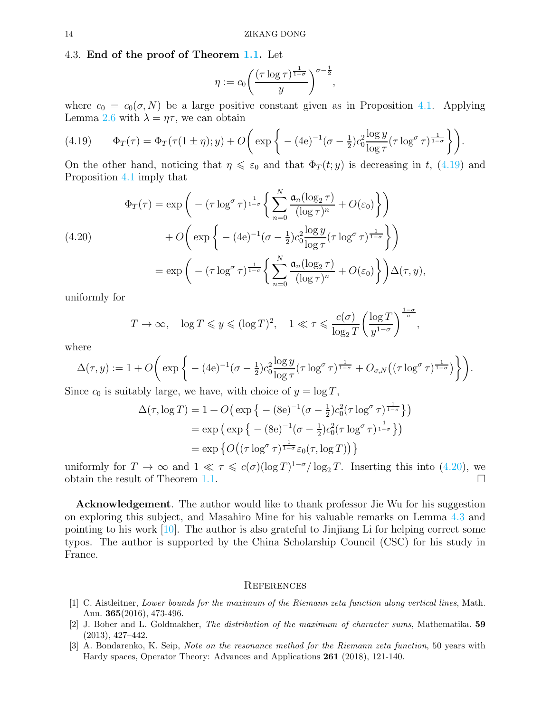## 4.3. End of the proof of Theorem [1.1.](#page-1-1) Let

$$
\eta := c_0 \left( \frac{(\tau \log \tau)^{\frac{1}{1-\sigma}}}{y} \right)^{\sigma - \frac{1}{2}},
$$

where  $c_0 = c_0(\sigma, N)$  be a large positive constant given as in Proposition [4.1.](#page-8-0) Applying Lemma [2.6](#page-3-2) with  $\lambda = \eta \tau$ , we can obtain

<span id="page-13-3"></span>(4.19) 
$$
\Phi_T(\tau) = \Phi_T(\tau(1 \pm \eta); y) + O\left(\exp\left\{- (4e)^{-1}(\sigma - \frac{1}{2})c_0^2 \frac{\log y}{\log \tau} (\tau \log^{\sigma} \tau)^{\frac{1}{1-\sigma}}\right\}\right).
$$

On the other hand, noticing that  $\eta \leq \varepsilon_0$  and that  $\Phi_T(t; y)$  is decreasing in t, [\(4.19\)](#page-13-3) and Proposition [4.1](#page-8-0) imply that

<span id="page-13-4"></span>(4.20) 
$$
\Phi_T(\tau) = \exp\left(-(\tau \log^{\sigma} \tau)^{\frac{1}{1-\sigma}} \left\{ \sum_{n=0}^{N} \frac{\mathfrak{a}_n(\log_2 \tau)}{(\log \tau)^n} + O(\varepsilon_0) \right\} \right) \n+ O\left(\exp\left\{ - (4\mathrm{e})^{-1}(\sigma - \frac{1}{2})c_0^2 \frac{\log y}{\log \tau} (\tau \log^{\sigma} \tau)^{\frac{1}{1-\sigma}} \right\} \right) \n= \exp\left(-(\tau \log^{\sigma} \tau)^{\frac{1}{1-\sigma}} \left\{ \sum_{n=0}^{N} \frac{\mathfrak{a}_n(\log_2 \tau)}{(\log \tau)^n} + O(\varepsilon_0) \right\} \right) \Delta(\tau, y),
$$

uniformly for

$$
T \to \infty
$$
,  $\log T \leq y \leq (\log T)^2$ ,  $1 \ll \tau \leq \frac{c(\sigma)}{\log_2 T} \left(\frac{\log T}{y^{1-\sigma}}\right)^{\frac{1-\sigma}{\sigma}}$ ,

where

$$
\Delta(\tau, y) := 1 + O\bigg(\exp\bigg\{- (4e)^{-1}(\sigma - \frac{1}{2})c_0^2 \frac{\log y}{\log \tau} (\tau \log^{\sigma} \tau)^{\frac{1}{1-\sigma}} + O_{\sigma, N}((\tau \log^{\sigma} \tau)^{\frac{1}{1-\sigma}})\bigg\}\bigg).
$$

Since  $c_0$  is suitably large, we have, with choice of  $y = \log T$ ,

$$
\Delta(\tau, \log T) = 1 + O\left(\exp\left\{-\left(8e\right)^{-1}(\sigma - \frac{1}{2})c_0^2(\tau \log^{\sigma} \tau)^{\frac{1}{1-\sigma}}\right\}\right)
$$
  
=  $\exp\left(\exp\left\{-\left(8e\right)^{-1}(\sigma - \frac{1}{2})c_0^2(\tau \log^{\sigma} \tau)^{\frac{1}{1-\sigma}}\right\}\right)$   
=  $\exp\left\{O\left((\tau \log^{\sigma} \tau)^{\frac{1}{1-\sigma}}\epsilon_0(\tau, \log T)\right)\right\}$ 

uniformly for  $T \to \infty$  and  $1 \ll \tau \leqslant c(\sigma)(\log T)^{1-\sigma}/\log_2 T$ . Inserting this into [\(4.20\)](#page-13-4), we obtain the result of Theorem [1.1.](#page-1-1)  $\Box$ 

Acknowledgement. The author would like to thank professor Jie Wu for his suggestion on exploring this subject, and Masahiro Mine for his valuable remarks on Lemma [4.3](#page-8-3) and pointing to his work [\[10\]](#page-14-11). The author is also grateful to Jinjiang Li for helping correct some typos. The author is supported by the China Scholarship Council (CSC) for his study in France.

#### **REFERENCES**

- <span id="page-13-0"></span>[1] C. Aistleitner, Lower bounds for the maximum of the Riemann zeta function along vertical lines, Math. Ann. 365(2016), 473-496.
- <span id="page-13-2"></span>[2] J. Bober and L. Goldmakher, The distribution of the maximum of character sums, Mathematika. 59 (2013), 427–442.
- <span id="page-13-1"></span>[3] A. Bondarenko, K. Seip, Note on the resonance method for the Riemann zeta function, 50 years with Hardy spaces, Operator Theory: Advances and Applications 261 (2018), 121-140.